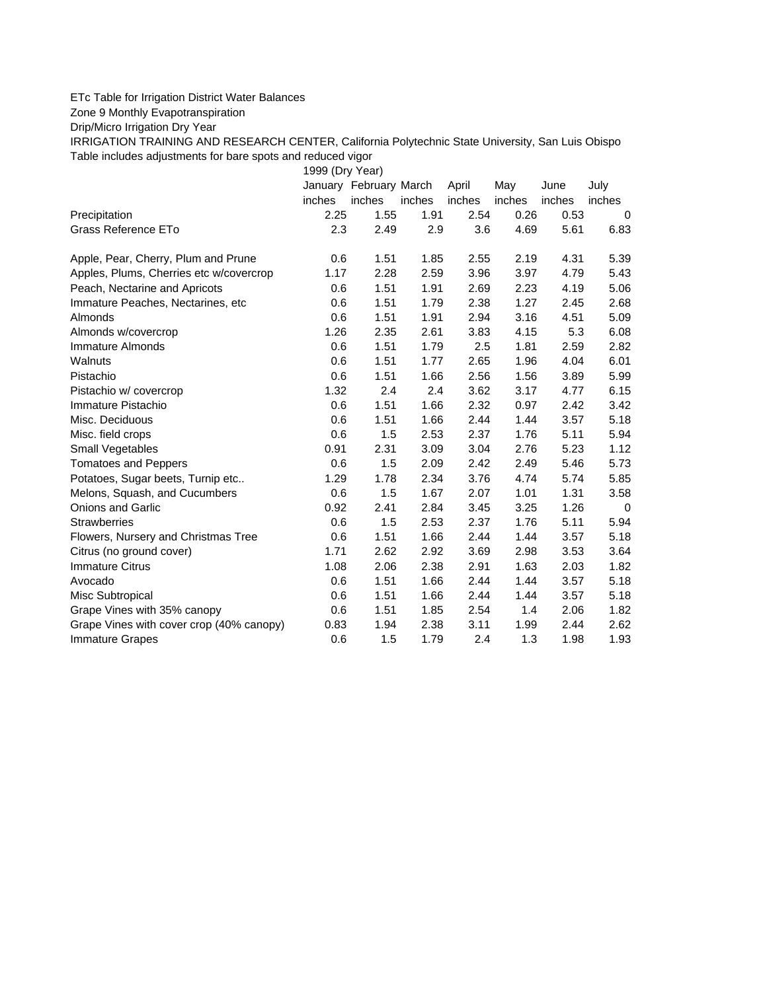## ETc Table for Irrigation District Water Balances

Zone 9 Monthly Evapotranspiration

Drip/Micro Irrigation Dry Year

IRRIGATION TRAINING AND RESEARCH CENTER, California Polytechnic State University, San Luis Obispo Table includes adjustments for bare spots and reduced vigor

1999 (Dry Year)

|                                          |        | January February March |        | April  | May    | June   | July   |
|------------------------------------------|--------|------------------------|--------|--------|--------|--------|--------|
|                                          | inches | inches                 | inches | inches | inches | inches | inches |
| Precipitation                            | 2.25   | 1.55                   | 1.91   | 2.54   | 0.26   | 0.53   | 0      |
| Grass Reference ETo                      | 2.3    | 2.49                   | 2.9    | 3.6    | 4.69   | 5.61   | 6.83   |
| Apple, Pear, Cherry, Plum and Prune      | 0.6    | 1.51                   | 1.85   | 2.55   | 2.19   | 4.31   | 5.39   |
| Apples, Plums, Cherries etc w/covercrop  | 1.17   | 2.28                   | 2.59   | 3.96   | 3.97   | 4.79   | 5.43   |
| Peach, Nectarine and Apricots            | 0.6    | 1.51                   | 1.91   | 2.69   | 2.23   | 4.19   | 5.06   |
| Immature Peaches, Nectarines, etc.       | 0.6    | 1.51                   | 1.79   | 2.38   | 1.27   | 2.45   | 2.68   |
| Almonds                                  | 0.6    | 1.51                   | 1.91   | 2.94   | 3.16   | 4.51   | 5.09   |
| Almonds w/covercrop                      | 1.26   | 2.35                   | 2.61   | 3.83   | 4.15   | 5.3    | 6.08   |
| Immature Almonds                         | 0.6    | 1.51                   | 1.79   | 2.5    | 1.81   | 2.59   | 2.82   |
| Walnuts                                  | 0.6    | 1.51                   | 1.77   | 2.65   | 1.96   | 4.04   | 6.01   |
| Pistachio                                | 0.6    | 1.51                   | 1.66   | 2.56   | 1.56   | 3.89   | 5.99   |
| Pistachio w/ covercrop                   | 1.32   | 2.4                    | 2.4    | 3.62   | 3.17   | 4.77   | 6.15   |
| Immature Pistachio                       | 0.6    | 1.51                   | 1.66   | 2.32   | 0.97   | 2.42   | 3.42   |
| Misc. Deciduous                          | 0.6    | 1.51                   | 1.66   | 2.44   | 1.44   | 3.57   | 5.18   |
| Misc. field crops                        | 0.6    | 1.5                    | 2.53   | 2.37   | 1.76   | 5.11   | 5.94   |
| Small Vegetables                         | 0.91   | 2.31                   | 3.09   | 3.04   | 2.76   | 5.23   | 1.12   |
| <b>Tomatoes and Peppers</b>              | 0.6    | 1.5                    | 2.09   | 2.42   | 2.49   | 5.46   | 5.73   |
| Potatoes, Sugar beets, Turnip etc        | 1.29   | 1.78                   | 2.34   | 3.76   | 4.74   | 5.74   | 5.85   |
| Melons, Squash, and Cucumbers            | 0.6    | 1.5                    | 1.67   | 2.07   | 1.01   | 1.31   | 3.58   |
| Onions and Garlic                        | 0.92   | 2.41                   | 2.84   | 3.45   | 3.25   | 1.26   | 0      |
| <b>Strawberries</b>                      | 0.6    | 1.5                    | 2.53   | 2.37   | 1.76   | 5.11   | 5.94   |
| Flowers, Nursery and Christmas Tree      | 0.6    | 1.51                   | 1.66   | 2.44   | 1.44   | 3.57   | 5.18   |
| Citrus (no ground cover)                 | 1.71   | 2.62                   | 2.92   | 3.69   | 2.98   | 3.53   | 3.64   |
| <b>Immature Citrus</b>                   | 1.08   | 2.06                   | 2.38   | 2.91   | 1.63   | 2.03   | 1.82   |
| Avocado                                  | 0.6    | 1.51                   | 1.66   | 2.44   | 1.44   | 3.57   | 5.18   |
| Misc Subtropical                         | 0.6    | 1.51                   | 1.66   | 2.44   | 1.44   | 3.57   | 5.18   |
| Grape Vines with 35% canopy              | 0.6    | 1.51                   | 1.85   | 2.54   | 1.4    | 2.06   | 1.82   |
| Grape Vines with cover crop (40% canopy) | 0.83   | 1.94                   | 2.38   | 3.11   | 1.99   | 2.44   | 2.62   |
| <b>Immature Grapes</b>                   | 0.6    | 1.5                    | 1.79   | 2.4    | 1.3    | 1.98   | 1.93   |